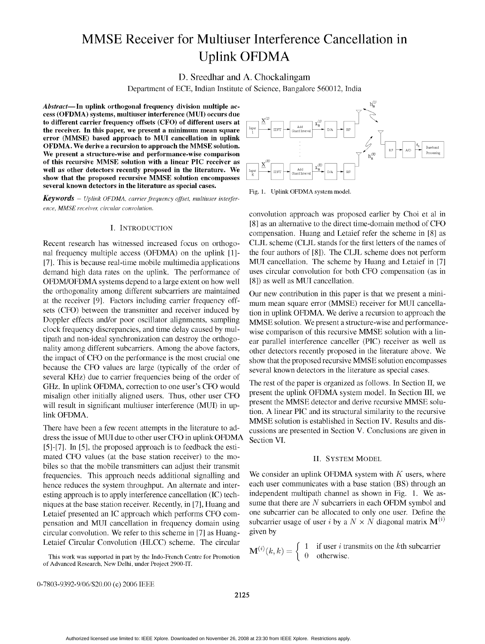# MMSE Receiver for Multiuser Interference Cancellation in Uplink OFDMA

D. Sreedhar and A. Chockalingam

Department of ECE, Indian Institute of Science, Bangalore 560012, India

Abstract- In uplink orthogonal frequency division multiple access (OFDMA) systems, multiuser interference (MUI) occurs due to different carrier frequency offsets (CFO) of different users at the receiver. In this paper, we present a minimum mean square error (MMSE) based approach to MUI cancellation in uplink OFDMA. We derive <sup>a</sup> recursion to approach the MMSE solution. We present <sup>a</sup> structure-wise and performance-wise comparison of this recursive MMSE solution with <sup>a</sup> linear PIC receiver as well as other detectors recently proposed in the literature. We show that the proposed recursive MMSE solution encompasses several known detectors in the literature as special cases.

 $Keywords - Uplink OFDMA$ , carrier frequency offset, multiuser interference, MMSE receiver, circular convolution.

## I. INTRODUCTION

Recent research has witnessed increased focus on orthogonal frequency multiple access (OFDMA) on the uplink [1]- [7]. This is because real-time mobile multimedia applications demand high data rates on the uplink. The performance of OFDM/OFDMA systems depend to <sup>a</sup> large extent on how well the orthogonality among different subcarriers are maintained at the receiver [9]. Factors including carrier frequency offsets (CFO) between the transmitter and receiver induced by Doppler effects and/or poor oscillator alignments, sampling clock frequency discrepancies, and time delay caused by multipath and non-ideal synchronization can destroy the orthogonality among different subcarriers. Among the above factors, the impact of CFO on the performance is the most crucial one because the CFO values are large (typically of the order of several KHz) due to carrier frequencies being of the order of GHz. In uplink OFDMA, correction to one user's CFO would misalign other initially aligned users. Thus, other user CFO will result in significant multiuser interference (MUI) in uplink OFDMA.

There have been a few recent attempts in the literature to address the issue of MUI due to other user CFO in uplink OFDMA [5]-[7]. In [5], the proposed approach is to feedback the estimated CFO values (at the base station receiver) to the mobiles so that the mobile transmitters can adjust their transmit frequencies. This approach needs additional signalling and hence reduces the system throughput. An alternate and interesting approach is to apply interference cancellation (IC) techniques at the base station receiver. Recently, in [7], Huang and Letaief presented an IC approach which performs CFO compensation and MUI cancellation in frequency domain using circular convolution. We refer to this scheme in [7] as Huang-Letaief Circular Convolution (HLCC) scheme. The circular

This work was supported in part by the Indo-French Centre for Promotion of Advanced Research, New Delhi, under Project 2900-IT.



Fig. 1. Uplink OFDMA system model.

convolution approach was proposed earlier by Choi et al in [8] as an alternative to the direct time-domain method of CFO compensation. Huang and Letaief refer the scheme in [8] as CLJL scheme (CLJL stands for the first letters of the names of the four authors of [8]). The CLJL scheme does not perform MUI cancellation. The scheme by Huang and Letaief in [7] uses circular convolution for both CFO compensation (as in [8]) as well as MUI cancellation.

Our new contribution in this paper is that we present a minimum mean square error (MMSE) receiver for MUI cancellation in uplink OFDMA. We derive <sup>a</sup> recursion to approach the MMSE solution. We present <sup>a</sup> structure-wise and performancewise comparison of this recursive MMSE solution with <sup>a</sup> linear parallel interference canceller (PIC) receiver as well as other detectors recently proposed in the literature above. We show that the proposed recursive MMSE solution encompasses several known detectors in the literature as special cases.

The rest of the paper is organized as follows. In Section II, we present the uplink OFDMA system model. In Section III, we present the MMSE detector and derive recursive MMSE solution. A linear PIC and its structural similarity to the recursive MMSE solution is established in Section IV. Results and discussions are presented in Section V. Conclusions are given in Section VI.

### II. SYSTEM MODEL

We consider an uplink OFDMA system with  $K$  users, where each user communicates with a base station (BS) through an independent multipath channel as shown in Fig. 1. We assume that there are N subcarriers in each OFDM symbol and one subcarrier can be allocated to only one user. Define the subcarrier usage of user i by a  $N \times N$  diagonal matrix  $M^{(i)}$ given by

$$
\mathbf{M}^{(i)}(k,k) = \begin{cases} 1 & \text{if user } i \text{ transmits on the } k\text{th subcarrier} \\ 0 & \text{otherwise.} \end{cases}
$$

0-7803-9392-9/06/\$20.00 (c) 2006 IEEE

2125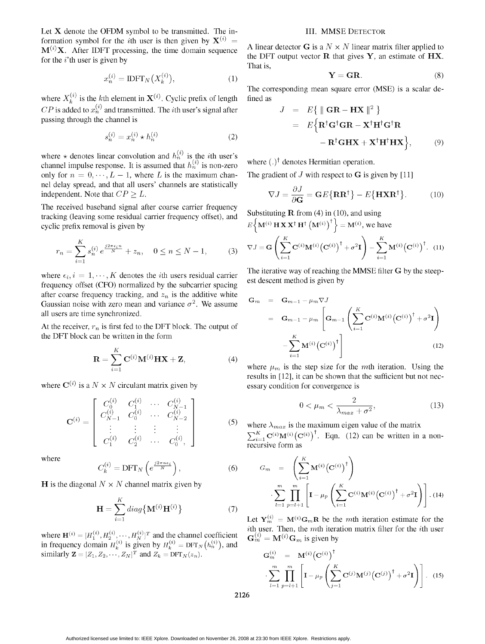Let  $X$  denote the OFDM symbol to be transmitted. The information symbol for the *i*th user is then given by  $X^{(i)} =$  $M^{(i)}X$ . After IDFT processing, the time domain sequence for the  $i$ <sup>th</sup> user is given by

$$
x_n^{(i)} = \text{IDFT}_N\big(X_k^{(i)}\big),\tag{1}
$$

where  $X_k^{(i)}$  is the kth element in  $\mathbf{X}^{(i)}$ . Cyclic prefix of length  $CP$  is added to  $x_n^{(i)}$  and transmitted. The *i*th user's signal after passing through the channel is

$$
s_n^{(i)} = x_n^{(i)} \star h_n^{(i)}
$$
 (2)

where  $\star$  denotes linear convolution and  $h_n^{\prime\prime}$  is the *i*th user's channel impulse response. It is assumed that  $h_n^{\vee}$  is non-zero only for  $n = 0, \dots, L - 1$ , where L is the maximum channel delay spread, and that all users' channels are statistically independent. Note that  $CP \geq L$ .

The received baseband signal after coarse carrier frequency tracking (leaving some residual carrier frequency offset), and cyclic prefix removal is given by

$$
r_n = \sum_{i=1}^{K} s_n^{(i)} e^{\frac{j2\pi\epsilon_i n}{N}} + z_n, \quad 0 \le n \le N - 1,
$$
 (3)

where  $\epsilon_i, i=1, \cdots, K$  denotes the *i*th users residual carrier frequency offset (CFO) normalized by the subcarrier spacing after coarse frequency tracking, and  $z_n$  is the additive white Gaussian noise with zero mean and variance  $\sigma^2$ . We assume all users are time synchronized.

At the receiver,  $r_n$  is first fed to the DFT block. The output of the DFT block can be written in the form

$$
\mathbf{R} = \sum_{i=1}^{K} \mathbf{C}^{(i)} \mathbf{M}^{(i)} \mathbf{H} \mathbf{X} + \mathbf{Z}, \tag{4}
$$

where  $\mathbf{C}^{(i)}$  is a  $N \times N$  circulant matrix given by

$$
\mathbf{C}^{(i)} = \begin{bmatrix} C_0^{(i)} & C_1^{(i)} & \cdots & C_{N-1}^{(i)} \\ C_{N-1}^{(i)} & C_0^{(i)} & \cdots & C_{N-2}^{(i)} \\ \vdots & \vdots & \vdots & \vdots \\ C_1^{(i)} & C_2^{(i)} & \cdots & C_0^{(i)}, \end{bmatrix}
$$
(5)

where

$$
C_k^{(i)} = \text{DFT}_N \left( e^{\frac{j2\pi n \epsilon_i}{N}} \right),\tag{6}
$$

**H** is the diagonal  $N \times N$  channel matrix given by

$$
\mathbf{H} = \sum_{i=1}^{K} diag\{\mathbf{M}^{(i)}\mathbf{H}^{(i)}\}
$$
 (7)

where  $\mathbf{H}^{(i)} = [H_1^{(i)}, H_2^{(i)}, \cdots, H_N^{(i)}]^T$  and the channel coefficient in frequency domain  $H_k^{(i)}$  is given by  $H_k^{(i)} = \text{DFT}_N(h_n^{(i)})$ , and similarly  $\mathbf{Z} = [Z_1, Z_2, \dots, Z_N]^T$  and  $Z_k = \text{DFT}_N(z_n)$ .

#### III. MMSE DETECTOR

A linear detector **G** is a  $N \times N$  linear matrix filter applied to the DFT output vector  $\bf{R}$  that gives  $\bf{Y}$ , an estimate of  $\bf{H} \bf{X}$ . That is,

$$
Y = GR.
$$
 (8)

The corresponding mean square error (MSE) is a scalar defined as

$$
J = E\{ \|\mathbf{GR} - \mathbf{H}\mathbf{X}\|^2 \}
$$
  
= 
$$
E\{\mathbf{R}^\dagger \mathbf{G}^\dagger \mathbf{GR} - \mathbf{X}^\dagger \mathbf{H}^\dagger \mathbf{G}^\dagger \mathbf{R} - \mathbf{R}^\dagger \mathbf{G} \mathbf{H} \mathbf{X} + \mathbf{X}^\dagger \mathbf{H}^\dagger \mathbf{H} \mathbf{X} \},
$$
 (9)

where  $(.)^{\dagger}$  denotes Hermitian operation.

The gradient of  $J$  with respect to  $G$  is given by [11]

$$
\nabla J = \frac{\partial J}{\partial \mathbf{G}} = \mathbf{G} E \{ \mathbf{R} \mathbf{R}^{\dagger} \} - E \{ \mathbf{H} \mathbf{X} \mathbf{R}^{\dagger} \}.
$$
 (10)

Substituting  $\bf{R}$  from (4) in (10), and using  $E\left\{\mathbf{M}^{(i)}\mathbf{H}\mathbf{X}\mathbf{X}^{\dagger}\mathbf{H}^{\dagger}\left(\mathbf{M}^{(i)}\right)^{\dagger}\right\} = \mathbf{M}^{(i)}$ , we have

$$
\nabla J = \mathbf{G} \left( \sum_{i=1}^{K} \mathbf{C}^{(i)} \mathbf{M}^{(i)} (\mathbf{C}^{(i)})^{\dagger} + \sigma^2 \mathbf{I} \right) - \sum_{i=1}^{K} \mathbf{M}^{(i)} (\mathbf{C}^{(i)})^{\dagger}.
$$
 (11)

The iterative way of reaching the MMSE filter G by the steepest descent method is given by

$$
\mathbf{G}_{m} = \mathbf{G}_{m-1} - \mu_{m} \nabla J
$$
  
\n
$$
= \mathbf{G}_{m-1} - \mu_{m} \left[ \mathbf{G}_{m-1} \left( \sum_{i=1}^{K} \mathbf{C}^{(i)} \mathbf{M}^{(i)} (\mathbf{C}^{(i)})^{\dagger} + \sigma^{2} \mathbf{I} \right) - \sum_{i=1}^{K} \mathbf{M}^{(i)} (\mathbf{C}^{(i)})^{\dagger} \right]
$$
(12)

where  $\mu_m$  is the step size for the mth iteration. Using the results in [12], it can be shown that the sufficient but not necessary condition for convergence is

$$
0 < \mu_m < \frac{2}{\lambda_{max} + \sigma^2},\tag{13}
$$

where  $\lambda_{max}$  is the maximum eigen value of the matrix  $\sum_{i=1}^{K} C^{(i)} M^{(i)} (C^{(i)})^{\dagger}$ . Eqn. (12) can be written in a nonrecursive form as

(6) 
$$
G_m = \left(\sum_{i=1}^K \mathbf{M}^{(i)} (\mathbf{C}^{(i)})^{\dagger}\right)
$$

$$
\cdot \sum_{l=1}^m \prod_{p=l+1}^m \left[\mathbf{I} - \mu_p \left(\sum_{i=1}^K \mathbf{C}^{(i)} \mathbf{M}^{(i)} (\mathbf{C}^{(i)})^{\dagger} + \sigma^2 \mathbf{I}\right)\right]. (14)
$$

Let  $Y_m^{(i)} = M^{(i)} G_m R$  be the mth iteration estimate for the  $i$ th user. Then, the  $m$ th iteration matrix filter for the  $i$ th user  ${\bf G}_m^{(i)} = {\bf M}^{(i)}{\bf G}_m$  is given by

$$
\mathbf{G}_{m}^{(i)} = \mathbf{M}^{(i)}(\mathbf{C}^{(i)})^{\dagger} \n\cdot \sum_{l=1}^{m} \prod_{p=l+1}^{m} \left[ \mathbf{I} - \mu_{p} \left( \sum_{j=1}^{K} \mathbf{C}^{(j)} \mathbf{M}^{(j)} (\mathbf{C}^{(j)})^{\dagger} + \sigma^{2} \mathbf{I} \right) \right].
$$
 (15)

2126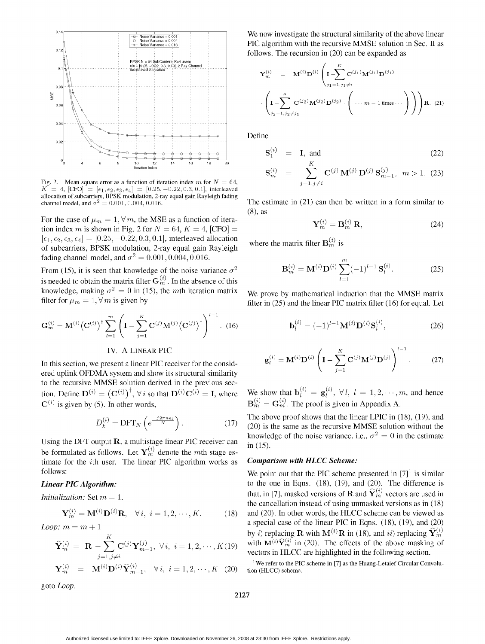

Fig. 2. Mean square error as a function of iteration index  $m$  for  $N = 64$ ,  $K = 4$ ,  $[CFO] = [\epsilon_1, \epsilon_2, \epsilon_3, \epsilon_4] = [0.25, -0.22, 0.3, 0.1]$ , interleaved allocation of subcarriers, BPSK modulation, 2-ray equal gain Rayleigh fading channel model, and  $\sigma^2 = 0.001, 0.004, 0.016$ .

For the case of  $\mu_m = 1, \forall m$ , the MSE as a function of iteration index m is shown in Fig. 2 for  $N = 64$ ,  $K = 4$ ,  $[CFO] =$  $[\epsilon_1, \epsilon_2, \epsilon_3, \epsilon_4] = [0.25, -0.22, 0.3, 0.1]$ , interleaved allocation of subcarriers, BPSK modulation, 2-ray equal gain Rayleigh fading channel model, and  $\sigma^2 = 0.001, 0.004, 0.016$ .

From (15), it is seen that knowledge of the noise variance  $\sigma^2$ is needed to obtain the matrix filter  $\mathbf{G}_m^{(i)}$ . In the absence of this knowledge, making  $\sigma^2 = 0$  in (15), the *mth* iteration matrix filter for  $\mu_m = 1, \forall m$  is given by

$$
\mathbf{G}_{m}^{(i)} = \mathbf{M}^{(i)} \big( \mathbf{C}^{(i)} \big)^{\dagger} \sum_{l=1}^{m} \left( \mathbf{I} - \sum_{j=1}^{K} \mathbf{C}^{(j)} \mathbf{M}^{(j)} \big( \mathbf{C}^{(j)} \big)^{\dagger} \right)^{l-1} . \tag{16}
$$

## IV. A LINEAR PIC

In this section, we present a linear PIC receiver for the considered uplink OFDMA system and show its structural similarity to the recursive MMSE solution derived in the previous section. Define  $\mathbf{D}^{(i)} = (\mathbf{C}^{(i)})^{\dagger}$ ,  $\forall i$  so that  $\mathbf{D}^{(i)}\mathbf{C}^{(i)} = \mathbf{I}$ , where  $\mathbf{C}^{(i)}$  is given by (5). In other words,

$$
D_k^{(i)} = \text{DFT}_N \left( e^{\frac{-j2\pi n \epsilon_i}{N}} \right). \tag{17}
$$

Using the DFT output R, <sup>a</sup> multistage linear PIC receiver can be formulated as follows. Let  ${\bf Y}_m^{(i)}$  denote the mth stage estimate for the ith user. The linear PIC algorithm works as follows:

## Linear PIC Algorithm:

*Initialization:* Set  $m = 1$ .

$$
\mathbf{Y}_{m}^{(i)} = \mathbf{M}^{(i)} \mathbf{D}^{(i)} \mathbf{R}, \quad \forall i, \ i = 1, 2, \cdots, K. \tag{18}
$$

Loop:  $m=m+1$ 

$$
\widehat{\mathbf{Y}}_m^{(i)} = \mathbf{R} - \sum_{j=1, j \neq i}^{K} \mathbf{C}^{(j)} \mathbf{Y}_{m-1}^{(j)}, \ \forall i, \ i = 1, 2, \cdots, K(19)
$$

$$
\mathbf{Y}_{m}^{(i)} = \mathbf{M}^{(i)} \mathbf{D}^{(i)} \hat{\mathbf{Y}}_{m-1}^{(i)}, \quad \forall i, i = 1, 2, \cdots, K \quad (20)
$$

goto Loop.

We now investigate the structural similarity of the above linear PIC algorithm with the recursive MMSE solution in Sec. II as follows. The recursion in (20) can be expanded as

$$
\mathbf{Y}_{m}^{(i)} = \mathbf{M}^{(i)} \mathbf{D}^{(i)} \left( \mathbf{I} - \sum_{j_{1}=1, j_{1} \neq i}^{K} \mathbf{C}^{(j_{1})} \mathbf{M}^{(j_{1})} \mathbf{D}^{(j_{1})} \right)
$$

$$
\cdot \left( \mathbf{I} - \sum_{j_{2}=1, j_{2} \neq j_{1}}^{K} \mathbf{C}^{(j_{2})} \mathbf{M}^{(j_{2})} \mathbf{D}^{(j_{2})} \cdot \left( \cdots m - 1 \text{ times} \cdots \right) \right) \right) \mathbf{R}. (21)
$$

Define

$$
\mathbf{S}_1^{(i)} = \mathbf{I}, \text{ and } \tag{22}
$$

$$
\mathbf{S}_{m}^{(i)} = \sum_{j=1, j \neq i}^{K} \mathbf{C}^{(j)} \, \mathbf{M}^{(j)} \, \mathbf{D}^{(j)} \, \mathbf{S}_{m-1}^{(j)}, \, m > 1. \tag{23}
$$

The estimate in (21) can then be written in a form similar to (8), as

$$
\mathbf{Y}_m^{(i)} = \mathbf{B}_m^{(i)} \mathbf{R},\tag{24}
$$

where the matrix filter  ${\bf B}_m^{(i)}$  is

$$
\mathbf{B}_{m}^{(i)} = \mathbf{M}^{(i)} \mathbf{D}^{(i)} \sum_{l=1}^{m} (-1)^{l-1} \mathbf{S}_{l}^{(i)}.
$$
 (25)

We prove by mathematical induction that the MMSE matrix filter in (25) and the linear PIC matrix filter (16) for equal. Let

$$
\mathbf{b}_{l}^{(i)} = (-1)^{l-1} \mathbf{M}^{(i)} \mathbf{D}^{(i)} \mathbf{S}_{l}^{(i)},
$$
\n(26)

$$
\mathbf{g}_{l}^{(i)} = \mathbf{M}^{(i)} \mathbf{D}^{(i)} \left( \mathbf{I} - \sum_{j=1}^{K} \mathbf{C}^{(j)} \mathbf{M}^{(j)} \mathbf{D}^{(j)} \right)^{l-1}.
$$
 (27)

We show that  $\mathbf{b}_l^{(i)} = \mathbf{g}_l^{(i)}$ ,  $\forall l, l = 1, 2, \dots, m$ , and hence  $\mathbf{B}_{m}^{\scriptscriptstyle{(v)}} = \mathbf{G}_{m}^{\scriptscriptstyle{(v)}}$ . The proof is given in Appendix A.

The above proof shows that the linear LPIC in (18), (19), and (20) is the same as the recursive MMSE solution without the knowledge of the noise variance, i.e.,  $\sigma^2 = 0$  in the estimate in (15).

## Comparison with HLCC Scheme:

We point out that the PIC scheme presented in  $[7]$ <sup>1</sup> is similar to the one in Eqns. (18), (19), and (20). The difference is that, in [7], masked versions of **R** and  $\widehat{\mathbf{Y}}_m^{(i)}$  vectors are used in the cancellation instead of using unmasked versions as in (18) and (20). In other words, the HLCC scheme can be viewed as a special case of the linear PIC in Eqns. (18), (19), and (20) by *i*) replacing **R** with  $\mathbf{M}^{(i)}$ **R** in (18), and *ii*) replacing  $\widehat{\mathbf{Y}}_m^{(i)}$ with  $\mathbf{M}^{(i)}\hat{\mathbf{Y}}_m^{(i)}$  in (20). The effects of the above masking of vectors in HLCC are highlighted in the following section.

<sup>1</sup>We refer to the PIC scheme in [7] as the Huang-Letaief Circular Convolution (HLCC) scheme.

2127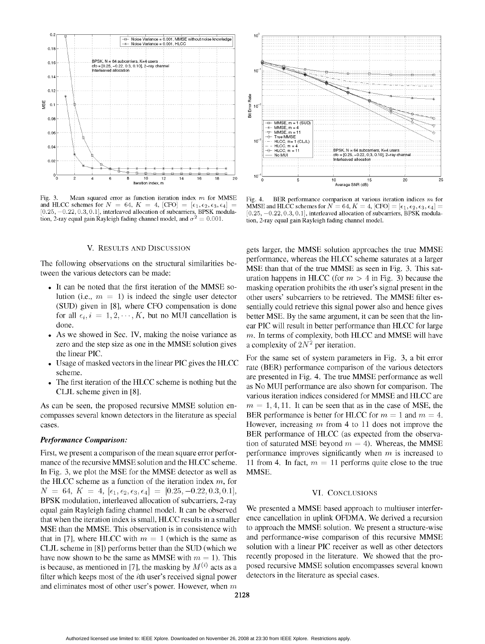

Mean squared error as function iteration index  $m$  for MMSE Fig. 3. and HLCC schemes for  $N = 64$ ,  $K = 4$ , [CFO] = [ $\epsilon_1, \epsilon_2, \epsilon_3, \epsilon_4$ ] [0.25, -0.22, 0.3, 0.1], interleaved allocation of subcarriers, BPSK modulation, 2-ray equal gain Rayleigh fading channel model, and  $\sigma^2 = 0.001$ .

## V. RESULTS AND DISCUSSION

The following observations on the structural similarities between the various detectors can be made:

- It can be noted that the first iteration of the MMSE solution (i.e.,  $m = 1$ ) is indeed the single user detector (SUD) given in [8], where CFO compensation is done for all  $\epsilon_i$ ,  $i = 1, 2, \dots, K$ , but no MUI cancellation is done.
- As we showed in Sec. IV, making the noise variance as zero and the step size as one in the MMSE solution gives the linear PIC.
- Usage of masked vectors in the linear PIC gives the HLCC scheme.
- The first iteration of the HLCC scheme is nothing but the CLJL scheme given in [8].

As can be seen, the proposed recursive MMSE solution encompasses several known detectors in the literature as special cases.

## Performance Comparison:

First, we present a comparison of the mean square error performance of the recursive MMSE solution and the HLCC scheme. In Fig. 3, we plot the MSE for the MMSE detector as well as the HLCC scheme as a function of the iteration index  $m$ , for  $N = 64, K = 4, [\epsilon_1, \epsilon_2, \epsilon_3, \epsilon_4] = [0.25, -0.22, 0.3, 0.1],$ BPSK modulation, interleaved allocation of subcarriers, 2-ray equal gain Rayleigh fading channel model. It can be observed that when the iteration index is small, HLCC results in a smaller MSE than the MMSE. This observation is in consistence with that in [7], where HLCC with  $m = 1$  (which is the same as CLJL scheme in [8]) performs better than the SUD (which we have now shown to be the same as MMSE with  $m = 1$ ). This is because, as mentioned in [7], the masking by  $M^{(i)}$  acts as a filter which keeps most of the *i*th user's received signal power and eliminates most of other user's power. However, when  $m$ 



Fig. 4. BER performance comparison at various iteration indices  $m$  for MMSE and HLCC schemes for  $N = 64$ ,  $K = 4$ ,  $|CFO| = |\epsilon_1, \epsilon_2, \epsilon_3, \epsilon_4|$  $[0.25, -0.22, 0.3, 0.1]$ , interleaved allocation of subcarriers, BPSK modulation, 2-ray equal gain Rayleigh fading channel model.

gets larger, the MMSE solution approaches the true MMSE performance, whereas the HLCC scheme saturates at a larger MSE than that of the true MMSE as seen in Fig. 3. This saturation happens in HLCC (for  $m > 4$  in Fig. 3) because the masking operation prohibits the *i*th user's signal present in the other users' subcarriers to be retrieved. The MMSE filter essentially could retrieve this signal power also and hence gives better MSE. By the same argument, it can be seen that the linear PIC will result in better performance than HLCC for large  $m$ . In terms of complexity, both HLCC and MMSE will have a complexity of  $2N^2$  per iteration.

For the same set of system parameters in Fig. 3, a bit error rate (BER) performance comparison of the various detectors are presented in Fig. 4. The true MMSE performance as well as No MUI performance are also shown for comparison. The various iteration indices considered for MMSE and HLCC are  $m = 1, 4, 11$ . It can be seen that as in the case of MSE, the BER performance is better for HLCC for  $m = 1$  and  $m = 4$ . However, increasing  $m$  from 4 to 11 does not improve the BER performance of HLCC (as expected from the observation of saturated MSE beyond  $m = 4$ ). Whereas, the MMSE performance improves significantly when  $m$  is increased to 11 from 4. In fact,  $m = 11$  performs quite close to the true MMSE.

## VI. CONCLUSIONS

We presented a MMSE based approach to multiuser interference cancellation in uplink OFDMA. We derived a recursion to approach the MMSE solution. We present a structure-wise and performance-wise comparison of this recursive MMSE solution with a linear PIC receiver as well as other detectors recently proposed in the literature. We showed that the proposed recursive MMSE solution encompasses several known detectors in the literature as special cases.